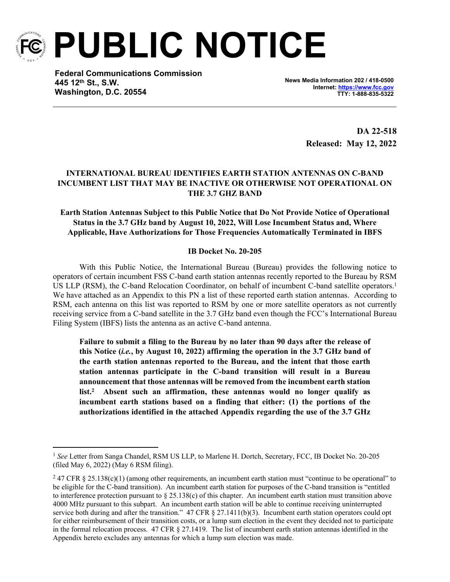

**PUBLIC NOTICE**

**Federal Communications Commission 445 12th St., S.W. Washington, D.C. 20554**

**News Media Information 202 / 418-0500 Internet:<https://www.fcc.gov> TTY: 1-888-835-5322**

> **DA 22-518 Released: May 12, 2022**

## **INTERNATIONAL BUREAU IDENTIFIES EARTH STATION ANTENNAS ON C-BAND INCUMBENT LIST THAT MAY BE INACTIVE OR OTHERWISE NOT OPERATIONAL ON THE 3.7 GHZ BAND**

## **Earth Station Antennas Subject to this Public Notice that Do Not Provide Notice of Operational Status in the 3.7 GHz band by August 10, 2022, Will Lose Incumbent Status and, Where Applicable, Have Authorizations for Those Frequencies Automatically Terminated in IBFS**

## **IB Docket No. 20-205**

With this Public Notice, the International Bureau (Bureau) provides the following notice to operators of certain incumbent FSS C-band earth station antennas recently reported to the Bureau by RSM US LLP (RSM), the C-band Relocation Coordinator, on behalf of incumbent C-band satellite operators.<sup>1</sup> We have attached as an Appendix to this PN a list of these reported earth station antennas. According to RSM, each antenna on this list was reported to RSM by one or more satellite operators as not currently receiving service from a C-band satellite in the 3.7 GHz band even though the FCC's International Bureau Filing System (IBFS) lists the antenna as an active C-band antenna.

**Failure to submit a filing to the Bureau by no later than 90 days after the release of this Notice (***i.e.***, by August 10, 2022) affirming the operation in the 3.7 GHz band of the earth station antennas reported to the Bureau, and the intent that those earth station antennas participate in the C-band transition will result in a Bureau announcement that those antennas will be removed from the incumbent earth station list.<sup>2</sup> Absent such an affirmation, these antennas would no longer qualify as incumbent earth stations based on a finding that either: (1) the portions of the authorizations identified in the attached Appendix regarding the use of the 3.7 GHz** 

<sup>&</sup>lt;sup>1</sup> See Letter from Sanga Chandel, RSM US LLP, to Marlene H. Dortch, Secretary, FCC, IB Docket No. 20-205 (filed May 6, 2022) (May 6 RSM filing).

<sup>&</sup>lt;sup>2</sup> 47 CFR § 25.138(c)(1) (among other requirements, an incumbent earth station must "continue to be operational" to be eligible for the C-band transition). An incumbent earth station for purposes of the C-band transition is "entitled to interference protection pursuant to  $\S 25.138(c)$  of this chapter. An incumbent earth station must transition above 4000 MHz pursuant to this subpart. An incumbent earth station will be able to continue receiving uninterrupted service both during and after the transition." 47 CFR  $\S$  27.1411(b)(3). Incumbent earth station operators could opt for either reimbursement of their transition costs, or a lump sum election in the event they decided not to participate in the formal relocation process. 47 CFR § 27.1419. The list of incumbent earth station antennas identified in the Appendix hereto excludes any antennas for which a lump sum election was made.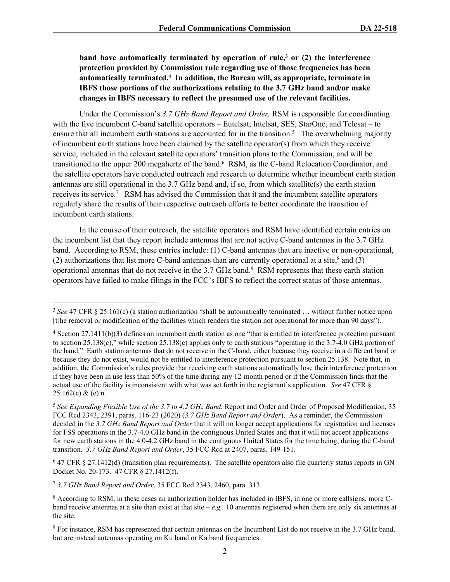**band have automatically terminated by operation of rule,<sup>3</sup> or (2) the interference protection provided by Commission rule regarding use of those frequencies has been automatically terminated.<sup>4</sup> In addition, the Bureau will, as appropriate, terminate in IBFS those portions of the authorizations relating to the 3.7 GHz band and/or make changes in IBFS necessary to reflect the presumed use of the relevant facilities.**

Under the Commission's *3.7 GHz Band Report and Order,* RSM is responsible for coordinating with the five incumbent C-band satellite operators – Eutelsat, Intelsat, SES, StarOne, and Telesat – to ensure that all incumbent earth stations are accounted for in the transition.<sup>5</sup> The overwhelming majority of incumbent earth stations have been claimed by the satellite operator(s) from which they receive service, included in the relevant satellite operators' transition plans to the Commission, and will be transitioned to the upper 200 megahertz of the band.<sup>6</sup> RSM, as the C-band Relocation Coordinator, and the satellite operators have conducted outreach and research to determine whether incumbent earth station antennas are still operational in the 3.7 GHz band and, if so, from which satellite(s) the earth station receives its service.<sup>7</sup> RSM has advised the Commission that it and the incumbent satellite operators regularly share the results of their respective outreach efforts to better coordinate the transition of incumbent earth stations.

In the course of their outreach, the satellite operators and RSM have identified certain entries on the incumbent list that they report include antennas that are not active C-band antennas in the 3.7 GHz band. According to RSM, these entries include: (1) C-band antennas that are inactive or non-operational, (2) authorizations that list more C-band antennas than are currently operational at a site, $\frac{8}{3}$  and (3) operational antennas that do not receive in the 3.7 GHz band.<sup>9</sup> RSM represents that these earth station operators have failed to make filings in the FCC's IBFS to reflect the correct status of those antennas.

 $6$  47 CFR  $\S$  27.1412(d) (transition plan requirements). The satellite operators also file quarterly status reports in GN Docket No. 20-173. 47 CFR § 27.1412(f).

<sup>7</sup> *3.7 GHz Band Report and Order*, 35 FCC Rcd 2343, 2460, para. 313.

<sup>&</sup>lt;sup>3</sup> See 47 CFR § 25.161(c) (a station authorization "shall be automatically terminated ... without further notice upon [t]he removal or modification of the facilities which renders the station not operational for more than 90 days").

<sup>&</sup>lt;sup>4</sup> Section 27.1411(b)(3) defines an incumbent earth station as one "that is entitled to interference protection pursuant to section 25.138(c)," while section 25.138(c) applies only to earth stations "operating in the 3.7-4.0 GHz portion of the band." Earth station antennas that do not receive in the C-band, either because they receive in a different band or because they do not exist, would not be entitled to interference protection pursuant to section 25.138. Note that, in addition, the Commission's rules provide that receiving earth stations automatically lose their interference protection if they have been in use less than 50% of the time during any 12-month period or if the Commission finds that the actual use of the facility is inconsistent with what was set forth in the registrant's application. *See* 47 CFR §  $25.162(c) & (e)$  n.

<sup>5</sup> *See Expanding Flexible Use of the 3.7 to 4.2 GHz Band*, Report and Order and Order of Proposed Modification, 35 FCC Rcd 2343, 2391, paras. 116-23 (2020) (*3.7 GHz Band Report and Order*). As a reminder, the Commission decided in the *3.7 GHz Band Report and Order* that it will no longer accept applications for registration and licenses for FSS operations in the 3.7-4.0 GHz band in the contiguous United States and that it will not accept applications for new earth stations in the 4.0-4.2 GHz band in the contiguous United States for the time being, during the C-band transition. *3.7 GHz Band Report and Order*, 35 FCC Rcd at 2407, paras. 149-151.

<sup>&</sup>lt;sup>8</sup> According to RSM, in these cases an authorization holder has included in IBFS, in one or more callsigns, more Cband receive antennas at a site than exist at that site  $-e.g., 10$  antennas registered when there are only six antennas at the site.

<sup>&</sup>lt;sup>9</sup> For instance, RSM has represented that certain antennas on the Incumbent List do not receive in the 3.7 GHz band, but are instead antennas operating on Ku band or Ka band frequencies.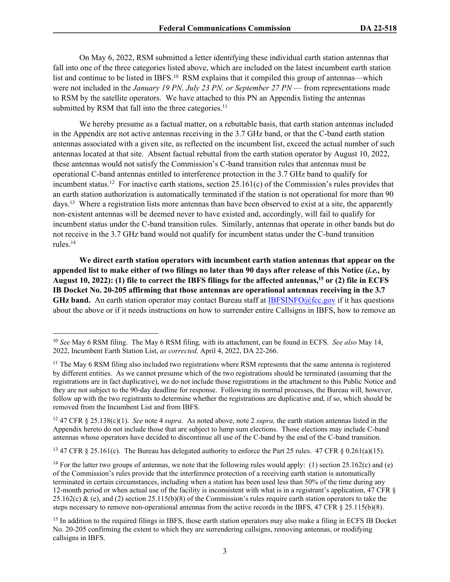On May 6, 2022, RSM submitted a letter identifying these individual earth station antennas that fall into one of the three categories listed above, which are included on the latest incumbent earth station list and continue to be listed in IBFS.<sup>10</sup> RSM explains that it compiled this group of antennas—which were not included in the *January 19 PN, July 23 PN, or September 27 PN* — from representations made to RSM by the satellite operators. We have attached to this PN an Appendix listing the antennas submitted by RSM that fall into the three categories.<sup>11</sup>

We hereby presume as a factual matter, on a rebuttable basis, that earth station antennas included in the Appendix are not active antennas receiving in the 3.7 GHz band, or that the C-band earth station antennas associated with a given site, as reflected on the incumbent list, exceed the actual number of such antennas located at that site. Absent factual rebuttal from the earth station operator by August 10, 2022, these antennas would not satisfy the Commission's C-band transition rules that antennas must be operational C-band antennas entitled to interference protection in the 3.7 GHz band to qualify for incumbent status.<sup>12</sup> For inactive earth stations, section 25.161(c) of the Commission's rules provides that an earth station authorization is automatically terminated if the station is not operational for more than 90 days.<sup>13</sup> Where a registration lists more antennas than have been observed to exist at a site, the apparently non-existent antennas will be deemed never to have existed and, accordingly, will fail to qualify for incumbent status under the C-band transition rules. Similarly, antennas that operate in other bands but do not receive in the 3.7 GHz band would not qualify for incumbent status under the C-band transition rules.<sup>14</sup>

**We direct earth station operators with incumbent earth station antennas that appear on the appended list to make either of two filings no later than 90 days after release of this Notice (***i.e.,* **by August 10, 2022): (1) file to correct the IBFS filings for the affected antennas,<sup>15</sup> or (2) file in ECFS IB Docket No. 20-205 affirming that those antennas are operational antennas receiving in the 3.7 GHz band.** An earth station operator may contact Bureau staff at [IBFSINFO@fcc.gov](mailto:IBFSINFO@fcc.gov) if it has questions about the above or if it needs instructions on how to surrender entire Callsigns in IBFS, how to remove an

<sup>13</sup> 47 CFR § 25.161(c). The Bureau has delegated authority to enforce the Part 25 rules. 47 CFR § 0.261(a)(15).

<sup>10</sup> *See* May 6 RSM filing. The May 6 RSM filing*,* with its attachment, can be found in ECFS. *See also* May 14, 2022, Incumbent Earth Station List, *as corrected,* April 4, 2022, DA 22-266.

<sup>&</sup>lt;sup>11</sup> The May 6 RSM filing also included two registrations where RSM represents that the same antenna is registered by different entities. As we cannot presume which of the two registrations should be terminated (assuming that the registrations are in fact duplicative), we do not include those registrations in the attachment to this Public Notice and they are not subject to the 90-day deadline for response. Following its normal processes, the Bureau will, however, follow up with the two registrants to determine whether the registrations are duplicative and, if so, which should be removed from the Incumbent List and from IBFS.

<sup>12</sup> 47 CFR § 25.138(c)(1). *See* note 4 *supra.* As noted above, note 2 *supra,* the earth station antennas listed in the Appendix hereto do not include those that are subject to lump sum elections. Those elections may include C-band antennas whose operators have decided to discontinue all use of the C-band by the end of the C-band transition.

<sup>&</sup>lt;sup>14</sup> For the latter two groups of antennas, we note that the following rules would apply: (1) section 25.162(c) and (e) of the Commission's rules provide that the interference protection of a receiving earth station is automatically terminated in certain circumstances, including when a station has been used less than 50% of the time during any 12-month period or when actual use of the facility is inconsistent with what is in a registrant's application, 47 CFR § 25.162(c) & (e), and (2) section 25.115(b)(8) of the Commission's rules require earth station operators to take the steps necessary to remove non-operational antennas from the active records in the IBFS, 47 CFR § 25.115(b)(8).

<sup>&</sup>lt;sup>15</sup> In addition to the required filings in IBFS, those earth station operators may also make a filing in ECFS IB Docket No. 20-205 confirming the extent to which they are surrendering callsigns, removing antennas, or modifying callsigns in IBFS.